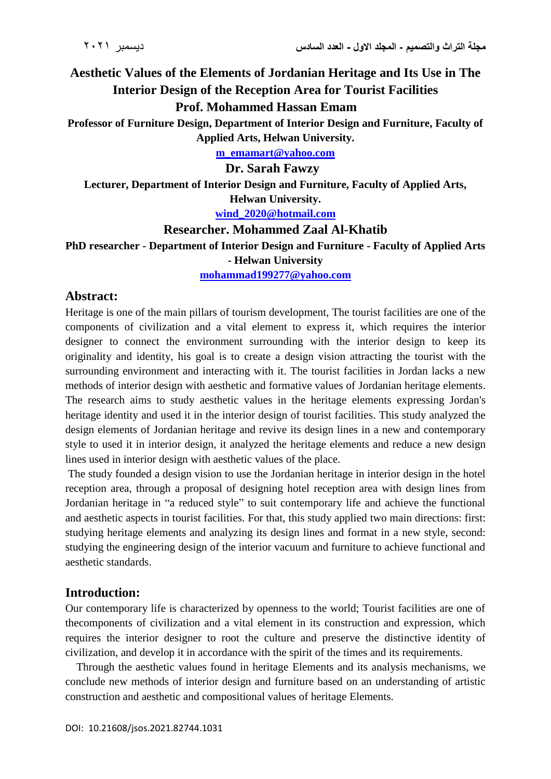**Aesthetic Values of the Elements of Jordanian Heritage and Its Use in The Interior Design of the Reception Area for Tourist Facilities Prof. Mohammed Hassan Emam**

**Professor of Furniture Design, Department of Interior Design and Furniture, Faculty of Applied Arts, Helwan University.**

**[m\\_emamart@yahoo.com](mailto:m_emamart@yahoo.com)**

**Dr. Sarah Fawzy**

**Lecturer, Department of Interior Design and Furniture, Faculty of Applied Arts, Helwan University.**

**[wind\\_2020@hotmail.com](mailto:wind_2020@hotmail.com)**

### **Researcher. Mohammed Zaal Al-Khatib**

**PhD researcher - Department of Interior Design and Furniture - Faculty of Applied Arts - Helwan University**

**[mohammad199277@yahoo.com](mailto:mohammad199277@yahoo.com)**

### **Abstract:**

Heritage is one of the main pillars of tourism development, The tourist facilities are one of the components of civilization and a vital element to express it, which requires the interior designer to connect the environment surrounding with the interior design to keep its originality and identity, his goal is to create a design vision attracting the tourist with the surrounding environment and interacting with it. The tourist facilities in Jordan lacks a new methods of interior design with aesthetic and formative values of Jordanian heritage elements. The research aims to study aesthetic values in the heritage elements expressing Jordan's heritage identity and used it in the interior design of tourist facilities. This study analyzed the design elements of Jordanian heritage and revive its design lines in a new and contemporary style to used it in interior design, it analyzed the heritage elements and reduce a new design lines used in interior design with aesthetic values of the place.

The study founded a design vision to use the Jordanian heritage in interior design in the hotel reception area, through a proposal of designing hotel reception area with design lines from Jordanian heritage in "a reduced style" to suit contemporary life and achieve the functional and aesthetic aspects in tourist facilities. For that, this study applied two main directions: first: studying heritage elements and analyzing its design lines and format in a new style, second: studying the engineering design of the interior vacuum and furniture to achieve functional and aesthetic standards.

## **Introduction:**

Our contemporary life is characterized by openness to the world; Tourist facilities are one of thecomponents of civilization and a vital element in its construction and expression, which requires the interior designer to root the culture and preserve the distinctive identity of civilization, and develop it in accordance with the spirit of the times and its requirements.

 Through the aesthetic values found in heritage Elements and its analysis mechanisms, we conclude new methods of interior design and furniture based on an understanding of artistic construction and aesthetic and compositional values of heritage Elements.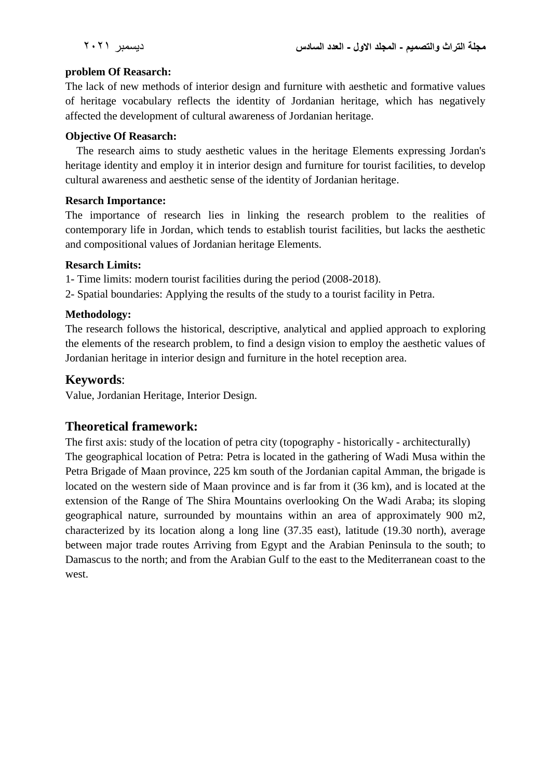### **problem Of Reasarch:**

The lack of new methods of interior design and furniture with aesthetic and formative values of heritage vocabulary reflects the identity of Jordanian heritage, which has negatively affected the development of cultural awareness of Jordanian heritage.

## **Objective Of Reasarch:**

 The research aims to study aesthetic values in the heritage Elements expressing Jordan's heritage identity and employ it in interior design and furniture for tourist facilities, to develop cultural awareness and aesthetic sense of the identity of Jordanian heritage.

# **Resarch Importance:**

The importance of research lies in linking the research problem to the realities of contemporary life in Jordan, which tends to establish tourist facilities, but lacks the aesthetic and compositional values of Jordanian heritage Elements.

# **Resarch Limits:**

1- Time limits: modern tourist facilities during the period (2008-2018).

2- Spatial boundaries: Applying the results of the study to a tourist facility in Petra.

# **Methodology:**

The research follows the historical, descriptive, analytical and applied approach to exploring the elements of the research problem, to find a design vision to employ the aesthetic values of Jordanian heritage in interior design and furniture in the hotel reception area.

# **Keywords**:

Value, Jordanian Heritage, Interior Design.

# **Theoretical framework:**

The first axis: study of the location of petra city (topography - historically - architecturally) The geographical location of Petra: Petra is located in the gathering of Wadi Musa within the Petra Brigade of Maan province, 225 km south of the Jordanian capital Amman, the brigade is located on the western side of Maan province and is far from it (36 km), and is located at the extension of the Range of The Shira Mountains overlooking On the Wadi Araba; its sloping geographical nature, surrounded by mountains within an area of approximately 900 m2, characterized by its location along a long line (37.35 east), latitude (19.30 north), average between major trade routes Arriving from Egypt and the Arabian Peninsula to the south; to Damascus to the north; and from the Arabian Gulf to the east to the Mediterranean coast to the west.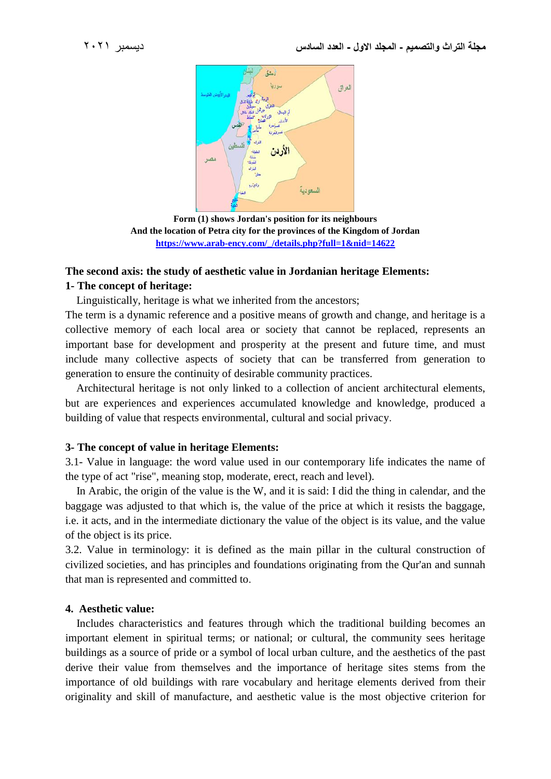

**Form (1) shows Jordan's position for its neighbours And the location of Petra city for the provinces of the Kingdom of Jordan [https://www.arab-ency.com/\\_/details.php?full=1&nid=14622](https://www.arab-ency.com/_/details.php?full=1&nid=14622)**

# **The second axis: the study of aesthetic value in Jordanian heritage Elements: 1- The concept of heritage:**

Linguistically, heritage is what we inherited from the ancestors;

The term is a dynamic reference and a positive means of growth and change, and heritage is a collective memory of each local area or society that cannot be replaced, represents an important base for development and prosperity at the present and future time, and must include many collective aspects of society that can be transferred from generation to generation to ensure the continuity of desirable community practices.

 Architectural heritage is not only linked to a collection of ancient architectural elements, but are experiences and experiences accumulated knowledge and knowledge, produced a building of value that respects environmental, cultural and social privacy.

### **3- The concept of value in heritage Elements:**

3.1- Value in language: the word value used in our contemporary life indicates the name of the type of act "rise", meaning stop, moderate, erect, reach and level).

 In Arabic, the origin of the value is the W, and it is said: I did the thing in calendar, and the baggage was adjusted to that which is, the value of the price at which it resists the baggage, i.e. it acts, and in the intermediate dictionary the value of the object is its value, and the value of the object is its price.

3.2. Value in terminology: it is defined as the main pillar in the cultural construction of civilized societies, and has principles and foundations originating from the Qur'an and sunnah that man is represented and committed to.

### **4. Aesthetic value:**

 Includes characteristics and features through which the traditional building becomes an important element in spiritual terms; or national; or cultural, the community sees heritage buildings as a source of pride or a symbol of local urban culture, and the aesthetics of the past derive their value from themselves and the importance of heritage sites stems from the importance of old buildings with rare vocabulary and heritage elements derived from their originality and skill of manufacture, and aesthetic value is the most objective criterion for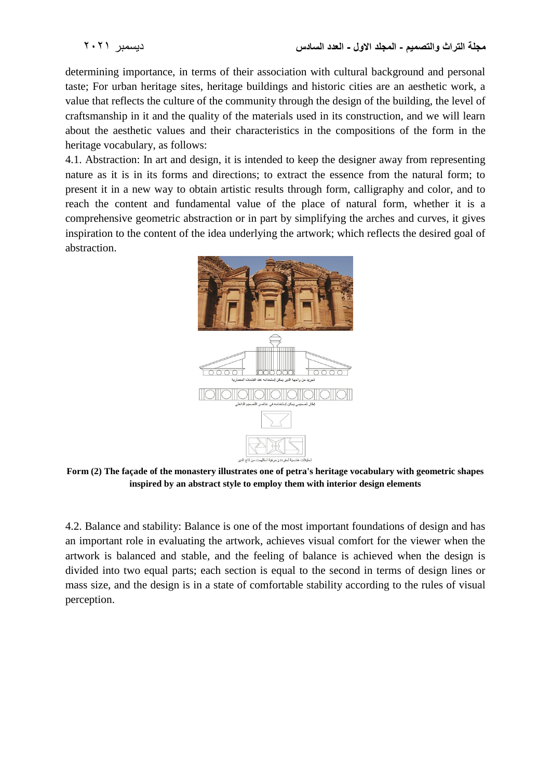determining importance, in terms of their association with cultural background and personal taste; For urban heritage sites, heritage buildings and historic cities are an aesthetic work, a value that reflects the culture of the community through the design of the building, the level of craftsmanship in it and the quality of the materials used in its construction, and we will learn about the aesthetic values and their characteristics in the compositions of the form in the heritage vocabulary, as follows:

4.1. Abstraction: In art and design, it is intended to keep the designer away from representing nature as it is in its forms and directions; to extract the essence from the natural form; to present it in a new way to obtain artistic results through form, calligraphy and color, and to reach the content and fundamental value of the place of natural form, whether it is a comprehensive geometric abstraction or in part by simplifying the arches and curves, it gives inspiration to the content of the idea underlying the artwork; which reflects the desired goal of abstraction.



**Form (2) The façade of the monastery illustrates one of petra's heritage vocabulary with geometric shapes inspired by an abstract style to employ them with interior design elements**

4.2. Balance and stability: Balance is one of the most important foundations of design and has an important role in evaluating the artwork, achieves visual comfort for the viewer when the artwork is balanced and stable, and the feeling of balance is achieved when the design is divided into two equal parts; each section is equal to the second in terms of design lines or mass size, and the design is in a state of comfortable stability according to the rules of visual perception.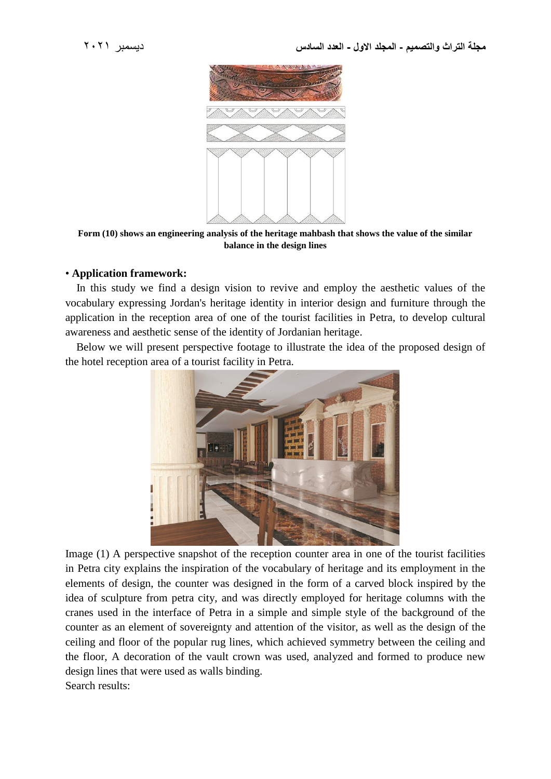

**Form (10) shows an engineering analysis of the heritage mahbash that shows the value of the similar balance in the design lines**

### • **Application framework:**

 In this study we find a design vision to revive and employ the aesthetic values of the vocabulary expressing Jordan's heritage identity in interior design and furniture through the application in the reception area of one of the tourist facilities in Petra, to develop cultural awareness and aesthetic sense of the identity of Jordanian heritage.

 Below we will present perspective footage to illustrate the idea of the proposed design of the hotel reception area of a tourist facility in Petra.



Image (1) A perspective snapshot of the reception counter area in one of the tourist facilities in Petra city explains the inspiration of the vocabulary of heritage and its employment in the elements of design, the counter was designed in the form of a carved block inspired by the idea of sculpture from petra city, and was directly employed for heritage columns with the cranes used in the interface of Petra in a simple and simple style of the background of the counter as an element of sovereignty and attention of the visitor, as well as the design of the ceiling and floor of the popular rug lines, which achieved symmetry between the ceiling and the floor, A decoration of the vault crown was used, analyzed and formed to produce new design lines that were used as walls binding. Search results: